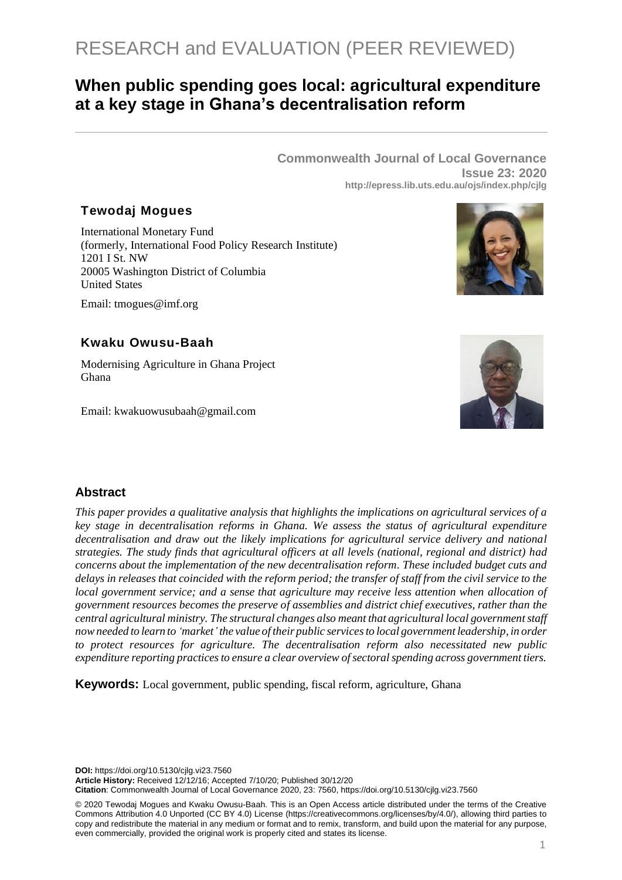# RESEARCH and EVALUATION (PEER REVIEWED)

# **When public spending goes local: agricultural expenditure at a key stage in Ghana's decentralisation reform**

**Commonwealth Journal of Local Governance Issue 23: 2020 http://epress.lib.uts.edu.au/ojs/index.php/cjlg**

# **Tewodaj Mogues**

International Monetary Fund (formerly, International Food Policy Research Institute) 1201 I St. NW 20005 Washington District of Columbia United States

Email: [tmogues@imf.org](mailto:tmogues@imf.org)



# **Kwaku Owusu-Baah**

Modernising Agriculture in Ghana Project Ghana

Email: kwakuowusubaah@gmail.com



# **Abstract**

*This paper provides a qualitative analysis that highlights the implications on agricultural services of a key stage in decentralisation reforms in Ghana. We assess the status of agricultural expenditure decentralisation and draw out the likely implications for agricultural service delivery and national strategies. The study finds that agricultural officers at all levels (national, regional and district) had concerns about the implementation of the new decentralisation reform. These included budget cuts and* delays in releases that coincided with the reform period; the transfer of staff from the civil service to the *local government service; and a sense that agriculture may receive less attention when allocation of government resources becomes the preserve of assemblies and district chief executives, rather than the central agricultural ministry. The structural changes also meant that agricultural local governmentstaff nowneeded to learn to 'market'the value of their public servicesto local government leadership, in order to protect resources for agriculture. The decentralisation reform also necessitated new public expenditure reporting practicesto ensure a clear overview ofsectoralspending across government tiers.*

**Keywords:** Local government, public spending, fiscal reform, agriculture, Ghana

**DOI:** https://doi.org/10.5130/cjlg.vi23.7560

**Article History:** Received 12/12/16; Accepted 7/10/20; Published 30/12/20

**Citation**: Commonwealth Journal of Local Governance 2020, 23: 7560, https://doi.org/10.5130/cjlg.vi23.7560

© 2020 Tewodaj Mogues and Kwaku Owusu-Baah. This is an Open Access article distributed under the terms of the Creative Commons Attribution 4.0 Unported (CC BY 4.0) License [\(https://creativecommons.org/licenses/by/4.0/\)](https://creativecommons.org/licenses/by/4.0/), allowing third parties to copy and redistribute the material in any medium or format and to remix, transform, and build upon the material for any purpose, even commercially, provided the original work is properly cited and states its license.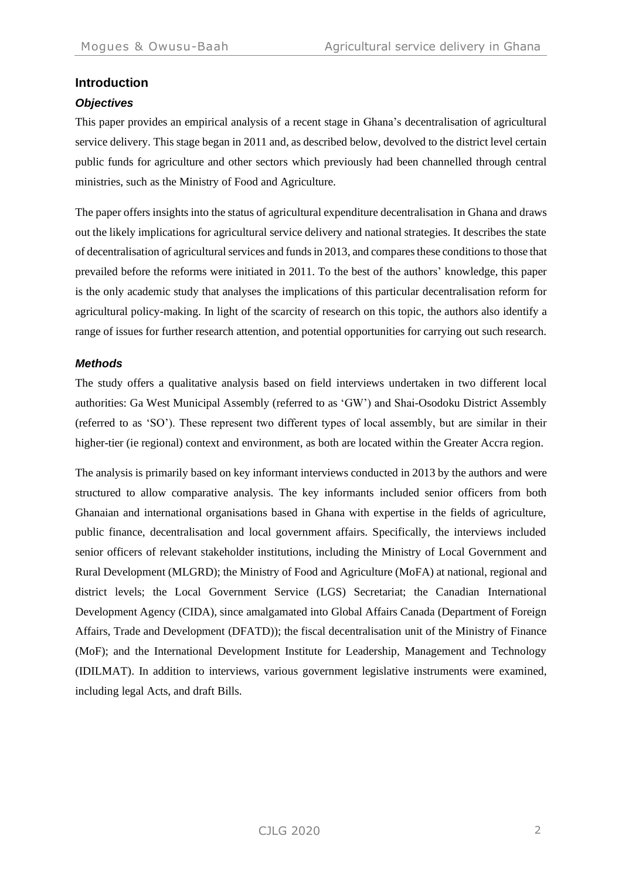# **Introduction**

# *Objectives*

This paper provides an empirical analysis of a recent stage in Ghana's decentralisation of agricultural service delivery. This stage began in 2011 and, as described below, devolved to the district level certain public funds for agriculture and other sectors which previously had been channelled through central ministries, such as the Ministry of Food and Agriculture.

The paper offers insights into the status of agricultural expenditure decentralisation in Ghana and draws out the likely implications for agricultural service delivery and national strategies. It describes the state of decentralisation of agriculturalservices and fundsin 2013, and comparesthese conditionsto those that prevailed before the reforms were initiated in 2011. To the best of the authors' knowledge, this paper is the only academic study that analyses the implications of this particular decentralisation reform for agricultural policy-making. In light of the scarcity of research on this topic, the authors also identify a range of issues for further research attention, and potential opportunities for carrying out such research.

#### *Methods*

The study offers a qualitative analysis based on field interviews undertaken in two different local authorities: Ga West Municipal Assembly (referred to as 'GW') and Shai-Osodoku District Assembly (referred to as 'SO'). These represent two different types of local assembly, but are similar in their higher-tier (ie regional) context and environment, as both are located within the Greater Accra region.

The analysis is primarily based on key informant interviews conducted in 2013 by the authors and were structured to allow comparative analysis. The key informants included senior officers from both Ghanaian and international organisations based in Ghana with expertise in the fields of agriculture, public finance, decentralisation and local government affairs. Specifically, the interviews included senior officers of relevant stakeholder institutions, including the Ministry of Local Government and Rural Development (MLGRD); the Ministry of Food and Agriculture (MoFA) at national, regional and district levels; the Local Government Service (LGS) Secretariat; the Canadian International Development Agency (CIDA), since amalgamated into Global Affairs Canada (Department of Foreign Affairs, Trade and Development (DFATD)); the fiscal decentralisation unit of the Ministry of Finance (MoF); and the International Development Institute for Leadership, Management and Technology (IDILMAT). In addition to interviews, various government legislative instruments were examined, including legal Acts, and draft Bills.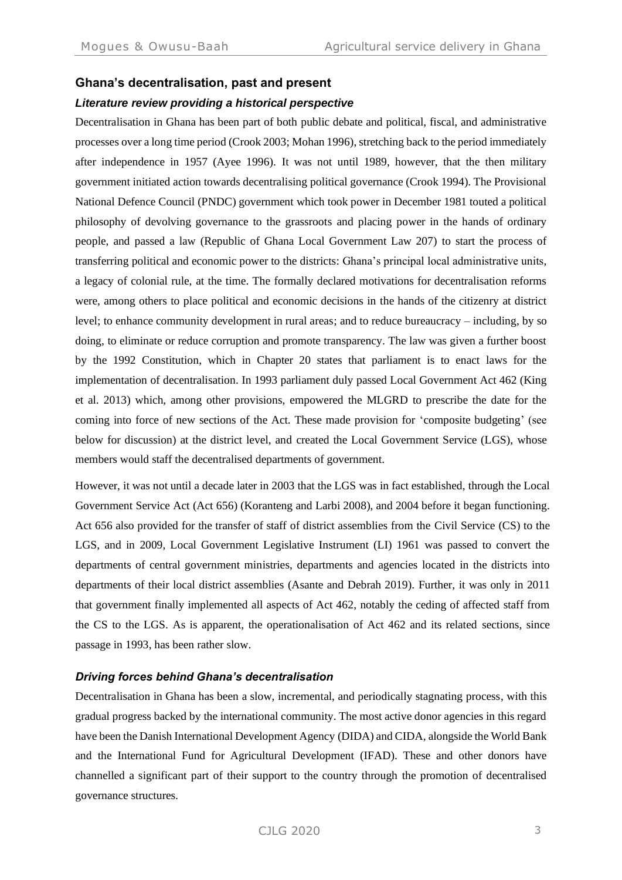#### **Ghana's decentralisation, past and present**

#### *Literature review providing a historical perspective*

Decentralisation in Ghana has been part of both public debate and political, fiscal, and administrative processes over a long time period (Crook 2003; Mohan 1996), stretching back to the period immediately after independence in 1957 (Ayee 1996). It was not until 1989, however, that the then military government initiated action towards decentralising political governance (Crook 1994). The Provisional National Defence Council (PNDC) government which took power in December 1981 touted a political philosophy of devolving governance to the grassroots and placing power in the hands of ordinary people, and passed a law (Republic of Ghana Local Government Law 207) to start the process of transferring political and economic power to the districts: Ghana's principal local administrative units, a legacy of colonial rule, at the time. The formally declared motivations for decentralisation reforms were, among others to place political and economic decisions in the hands of the citizenry at district level; to enhance community development in rural areas; and to reduce bureaucracy – including, by so doing, to eliminate or reduce corruption and promote transparency. The law was given a further boost by the 1992 Constitution, which in Chapter 20 states that parliament is to enact laws for the implementation of decentralisation. In 1993 parliament duly passed Local Government Act 462 (King et al. 2013) which, among other provisions, empowered the MLGRD to prescribe the date for the coming into force of new sections of the Act. These made provision for 'composite budgeting' (see below for discussion) at the district level, and created the Local Government Service (LGS), whose members would staff the decentralised departments of government.

However, it was not until a decade later in 2003 that the LGS was in fact established, through the Local Government Service Act (Act 656) (Koranteng and Larbi 2008), and 2004 before it began functioning. Act 656 also provided for the transfer of staff of district assemblies from the Civil Service (CS) to the LGS, and in 2009, Local Government Legislative Instrument (LI) 1961 was passed to convert the departments of central government ministries, departments and agencies located in the districts into departments of their local district assemblies (Asante and Debrah 2019). Further, it was only in 2011 that government finally implemented all aspects of Act 462, notably the ceding of affected staff from the CS to the LGS. As is apparent, the operationalisation of Act 462 and its related sections, since passage in 1993, has been rather slow.

#### *Driving forces behind Ghana's decentralisation*

Decentralisation in Ghana has been a slow, incremental, and periodically stagnating process, with this gradual progress backed by the international community. The most active donor agencies in this regard have been the Danish International Development Agency (DIDA) and CIDA, alongside the World Bank and the International Fund for Agricultural Development (IFAD). These and other donors have channelled a significant part of their support to the country through the promotion of decentralised governance structures.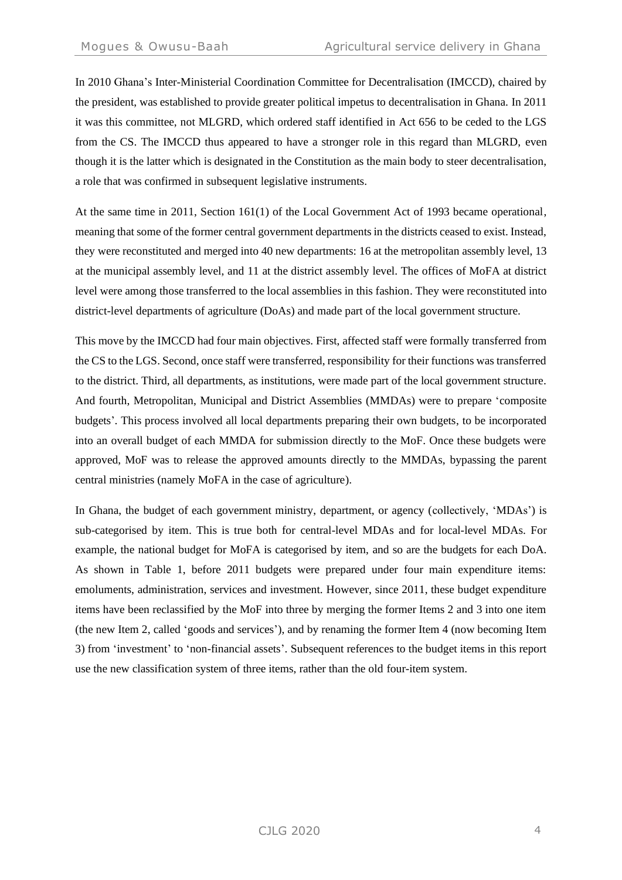In 2010 Ghana's Inter-Ministerial Coordination Committee for Decentralisation (IMCCD), chaired by the president, was established to provide greater political impetus to decentralisation in Ghana. In 2011 it was this committee, not MLGRD, which ordered staff identified in Act 656 to be ceded to the LGS from the CS. The IMCCD thus appeared to have a stronger role in this regard than MLGRD, even though it is the latter which is designated in the Constitution as the main body to steer decentralisation, a role that was confirmed in subsequent legislative instruments.

At the same time in 2011, Section 161(1) of the Local Government Act of 1993 became operational, meaning that some of the former central government departments in the districts ceased to exist. Instead, they were reconstituted and merged into 40 new departments: 16 at the metropolitan assembly level, 13 at the municipal assembly level, and 11 at the district assembly level. The offices of MoFA at district level were among those transferred to the local assemblies in this fashion. They were reconstituted into district-level departments of agriculture (DoAs) and made part of the local government structure.

This move by the IMCCD had four main objectives. First, affected staff were formally transferred from the CS to the LGS. Second, once staff were transferred, responsibility for their functions was transferred to the district. Third, all departments, as institutions, were made part of the local government structure. And fourth, Metropolitan, Municipal and District Assemblies (MMDAs) were to prepare 'composite budgets'. This process involved all local departments preparing their own budgets, to be incorporated into an overall budget of each MMDA for submission directly to the MoF. Once these budgets were approved, MoF was to release the approved amounts directly to the MMDAs, bypassing the parent central ministries (namely MoFA in the case of agriculture).

In Ghana, the budget of each government ministry, department, or agency (collectively, 'MDAs') is sub-categorised by item. This is true both for central-level MDAs and for local-level MDAs. For example, the national budget for MoFA is categorised by item, and so are the budgets for each DoA. As shown in Table 1, before 2011 budgets were prepared under four main expenditure items: emoluments, administration, services and investment. However, since 2011, these budget expenditure items have been reclassified by the MoF into three by merging the former Items 2 and 3 into one item (the new Item 2, called 'goods and services'), and by renaming the former Item 4 (now becoming Item 3) from 'investment' to 'non-financial assets'. Subsequent references to the budget items in this report use the new classification system of three items, rather than the old four-item system.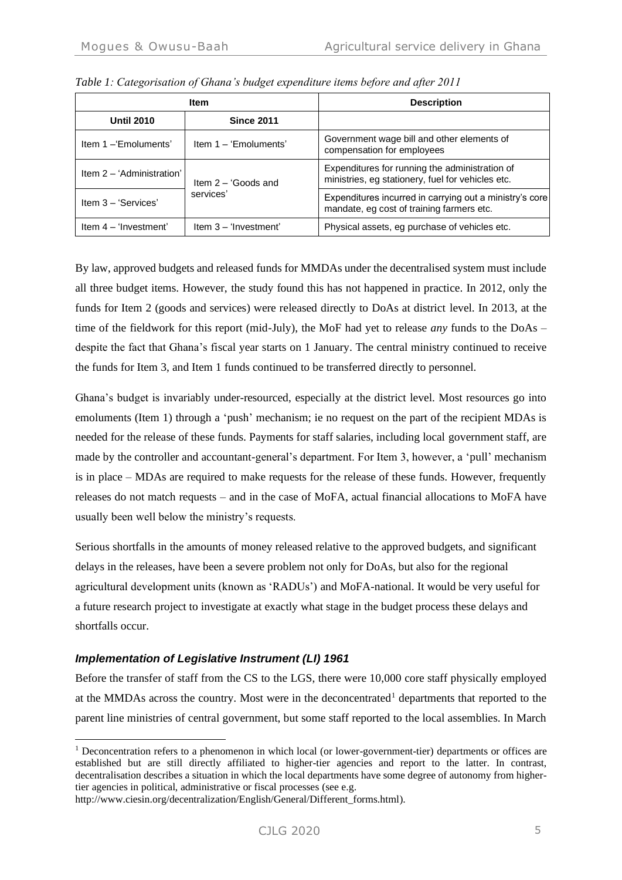|                           | <b>Item</b>           | <b>Description</b>                                                                                   |  |  |
|---------------------------|-----------------------|------------------------------------------------------------------------------------------------------|--|--|
| <b>Until 2010</b>         | <b>Since 2011</b>     |                                                                                                      |  |  |
| Item 1 - 'Emoluments'     | Item 1 - 'Emoluments' | Government wage bill and other elements of<br>compensation for employees                             |  |  |
| Item 2 - 'Administration' | Item $2 - 'Goods$ and | Expenditures for running the administration of<br>ministries, eg stationery, fuel for vehicles etc.  |  |  |
| Item $3 - 'Services'$     | services'             | Expenditures incurred in carrying out a ministry's core<br>mandate, eg cost of training farmers etc. |  |  |
| Item $4 - 'Investment'$   | Item 3 - 'Investment' | Physical assets, eg purchase of vehicles etc.                                                        |  |  |

*Table 1: Categorisation of Ghana's budget expenditure items before and after 2011*

By law, approved budgets and released funds for MMDAs under the decentralised system must include all three budget items. However, the study found this has not happened in practice. In 2012, only the funds for Item 2 (goods and services) were released directly to DoAs at district level. In 2013, at the time of the fieldwork for this report (mid-July), the MoF had yet to release *any* funds to the DoAs – despite the fact that Ghana's fiscal year starts on 1 January. The central ministry continued to receive the funds for Item 3, and Item 1 funds continued to be transferred directly to personnel.

Ghana's budget is invariably under-resourced, especially at the district level. Most resources go into emoluments (Item 1) through a 'push' mechanism; ie no request on the part of the recipient MDAs is needed for the release of these funds. Payments for staff salaries, including local government staff, are made by the controller and accountant-general's department. For Item 3, however, a 'pull' mechanism is in place – MDAs are required to make requests for the release of these funds. However, frequently releases do not match requests – and in the case of MoFA, actual financial allocations to MoFA have usually been well below the ministry's requests.

Serious shortfalls in the amounts of money released relative to the approved budgets, and significant delays in the releases, have been a severe problem not only for DoAs, but also for the regional agricultural development units (known as 'RADUs') and MoFA-national. It would be very useful for a future research project to investigate at exactly what stage in the budget process these delays and shortfalls occur.

#### *Implementation of Legislative Instrument (LI) 1961*

Before the transfer of staff from the CS to the LGS, there were 10,000 core staff physically employed at the MMDAs across the country. Most were in the deconcentrated<sup>1</sup> departments that reported to the parent line ministries of central government, but some staff reported to the local assemblies. In March

<sup>&</sup>lt;sup>1</sup> Deconcentration refers to a phenomenon in which local (or lower-government-tier) departments or offices are established but are still directly affiliated to higher-tier agencies and report to the latter. In contrast, decentralisation describes a situation in which the local departments have some degree of autonomy from highertier agencies in political, administrative or fiscal processes (see e.g.

[http://www.ciesin.org/decentralization/English/General/Different\\_forms.html\)](http://www.ciesin.org/decentralization/English/General/Different_forms.html).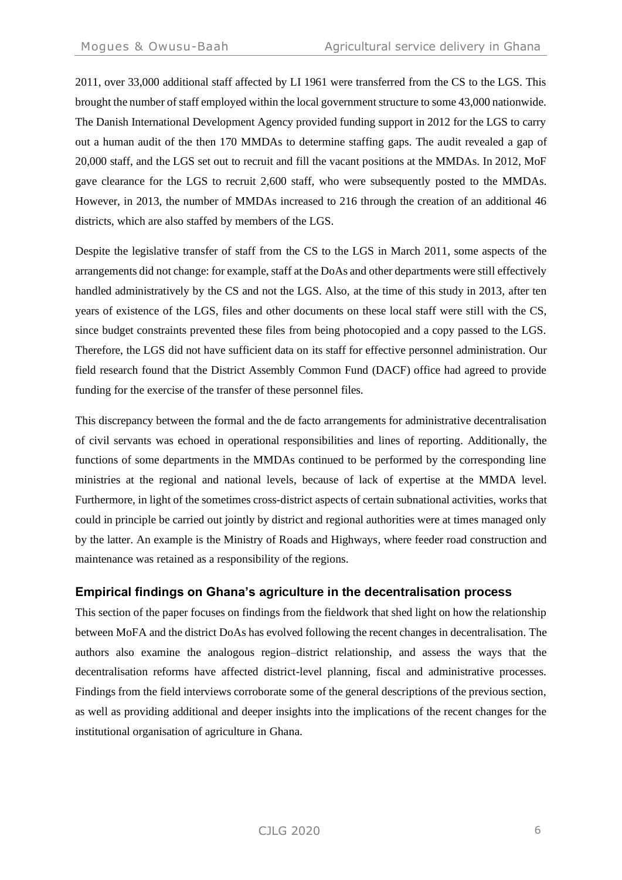2011, over 33,000 additional staff affected by LI 1961 were transferred from the CS to the LGS. This brought the number of staff employed within the local government structure to some 43,000 nationwide. The Danish International Development Agency provided funding support in 2012 for the LGS to carry out a human audit of the then 170 MMDAs to determine staffing gaps. The audit revealed a gap of 20,000 staff, and the LGS set out to recruit and fill the vacant positions at the MMDAs. In 2012, MoF gave clearance for the LGS to recruit 2,600 staff, who were subsequently posted to the MMDAs. However, in 2013, the number of MMDAs increased to 216 through the creation of an additional 46 districts, which are also staffed by members of the LGS.

Despite the legislative transfer of staff from the CS to the LGS in March 2011, some aspects of the arrangements did not change: for example, staff at the DoAs and other departments were still effectively handled administratively by the CS and not the LGS. Also, at the time of this study in 2013, after ten years of existence of the LGS, files and other documents on these local staff were still with the CS, since budget constraints prevented these files from being photocopied and a copy passed to the LGS. Therefore, the LGS did not have sufficient data on its staff for effective personnel administration. Our field research found that the District Assembly Common Fund (DACF) office had agreed to provide funding for the exercise of the transfer of these personnel files.

This discrepancy between the formal and the de facto arrangements for administrative decentralisation of civil servants was echoed in operational responsibilities and lines of reporting. Additionally, the functions of some departments in the MMDAs continued to be performed by the corresponding line ministries at the regional and national levels, because of lack of expertise at the MMDA level. Furthermore, in light of the sometimes cross-district aspects of certain subnational activities, works that could in principle be carried out jointly by district and regional authorities were at times managed only by the latter. An example is the Ministry of Roads and Highways, where feeder road construction and maintenance was retained as a responsibility of the regions.

#### **Empirical findings on Ghana's agriculture in the decentralisation process**

This section of the paper focuses on findings from the fieldwork that shed light on how the relationship between MoFA and the district DoAs has evolved following the recent changes in decentralisation. The authors also examine the analogous region–district relationship, and assess the ways that the decentralisation reforms have affected district-level planning, fiscal and administrative processes. Findings from the field interviews corroborate some of the general descriptions of the previous section, as well as providing additional and deeper insights into the implications of the recent changes for the institutional organisation of agriculture in Ghana.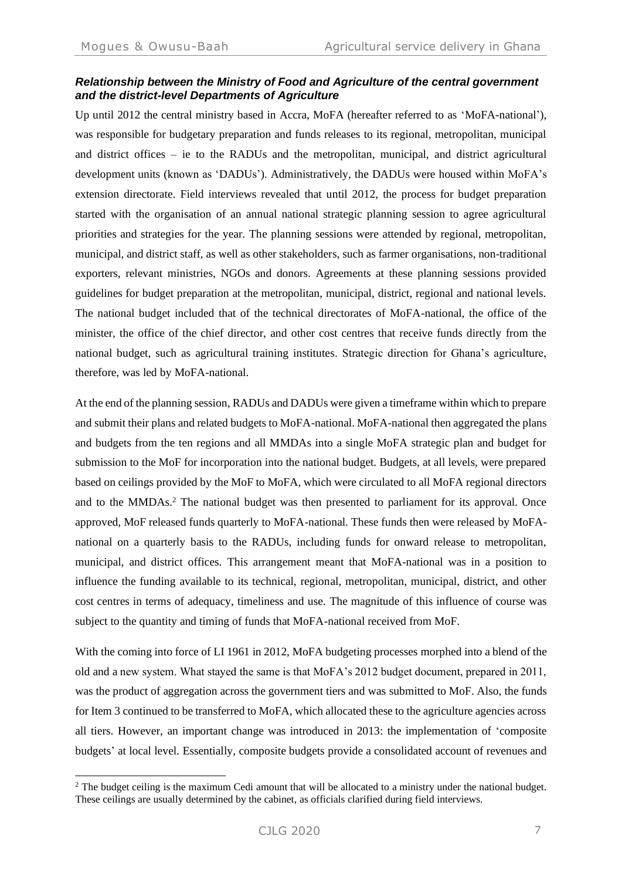## *Relationship between the Ministry of Food and Agriculture of the central government and the district-level Departments of Agriculture*

Up until 2012 the central ministry based in Accra, MoFA (hereafter referred to as 'MoFA-national'), was responsible for budgetary preparation and funds releases to its regional, metropolitan, municipal and district offices – ie to the RADUs and the metropolitan, municipal, and district agricultural development units (known as 'DADUs'). Administratively, the DADUs were housed within MoFA's extension directorate. Field interviews revealed that until 2012, the process for budget preparation started with the organisation of an annual national strategic planning session to agree agricultural priorities and strategies for the year. The planning sessions were attended by regional, metropolitan, municipal, and district staff, as well as other stakeholders, such as farmer organisations, non-traditional exporters, relevant ministries, NGOs and donors. Agreements at these planning sessions provided guidelines for budget preparation at the metropolitan, municipal, district, regional and national levels. The national budget included that of the technical directorates of MoFA-national, the office of the minister, the office of the chief director, and other cost centres that receive funds directly from the national budget, such as agricultural training institutes. Strategic direction for Ghana's agriculture, therefore, was led by MoFA-national.

At the end of the planning session, RADUs and DADUs were given a timeframe within which to prepare and submit their plans and related budgets to MoFA-national. MoFA-national then aggregated the plans and budgets from the ten regions and all MMDAs into a single MoFA strategic plan and budget for submission to the MoF for incorporation into the national budget. Budgets, at all levels, were prepared based on ceilings provided by the MoF to MoFA, which were circulated to all MoFA regional directors and to the MMDAs.<sup>2</sup> The national budget was then presented to parliament for its approval. Once approved, MoF released funds quarterly to MoFA-national. These funds then were released by MoFAnational on a quarterly basis to the RADUs, including funds for onward release to metropolitan, municipal, and district offices. This arrangement meant that MoFA-national was in a position to influence the funding available to its technical, regional, metropolitan, municipal, district, and other cost centres in terms of adequacy, timeliness and use. The magnitude of this influence of course was subject to the quantity and timing of funds that MoFA-national received from MoF.

With the coming into force of LI 1961 in 2012, MoFA budgeting processes morphed into a blend of the old and a new system. What stayed the same is that MoFA's 2012 budget document, prepared in 2011, was the product of aggregation across the government tiers and was submitted to MoF. Also, the funds for Item 3 continued to be transferred to MoFA, which allocated these to the agriculture agencies across all tiers. However, an important change was introduced in 2013: the implementation of 'composite budgets' at local level. Essentially, composite budgets provide a consolidated account of revenues and

<sup>&</sup>lt;sup>2</sup> The budget ceiling is the maximum Cedi amount that will be allocated to a ministry under the national budget. These ceilings are usually determined by the cabinet, as officials clarified during field interviews.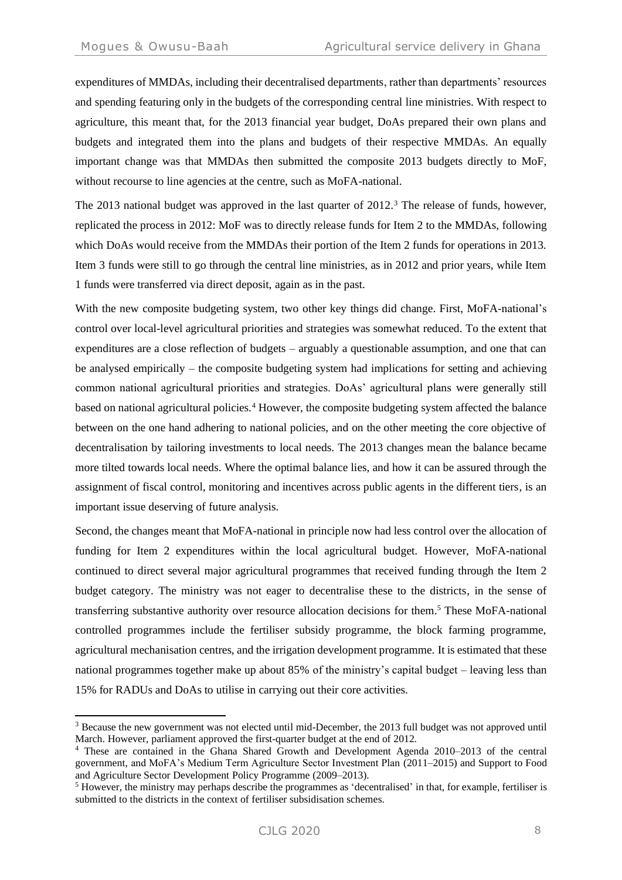expenditures of MMDAs, including their decentralised departments, rather than departments' resources and spending featuring only in the budgets of the corresponding central line ministries. With respect to agriculture, this meant that, for the 2013 financial year budget, DoAs prepared their own plans and budgets and integrated them into the plans and budgets of their respective MMDAs. An equally important change was that MMDAs then submitted the composite 2013 budgets directly to MoF, without recourse to line agencies at the centre, such as MoFA-national.

The 2013 national budget was approved in the last quarter of 2012.<sup>3</sup> The release of funds, however, replicated the process in 2012: MoF was to directly release funds for Item 2 to the MMDAs, following which DoAs would receive from the MMDAs their portion of the Item 2 funds for operations in 2013. Item 3 funds were still to go through the central line ministries, as in 2012 and prior years, while Item 1 funds were transferred via direct deposit, again as in the past.

With the new composite budgeting system, two other key things did change. First, MoFA-national's control over local-level agricultural priorities and strategies was somewhat reduced. To the extent that expenditures are a close reflection of budgets – arguably a questionable assumption, and one that can be analysed empirically – the composite budgeting system had implications for setting and achieving common national agricultural priorities and strategies. DoAs' agricultural plans were generally still based on national agricultural policies.<sup>4</sup> However, the composite budgeting system affected the balance between on the one hand adhering to national policies, and on the other meeting the core objective of decentralisation by tailoring investments to local needs. The 2013 changes mean the balance became more tilted towards local needs. Where the optimal balance lies, and how it can be assured through the assignment of fiscal control, monitoring and incentives across public agents in the different tiers, is an important issue deserving of future analysis.

Second, the changes meant that MoFA-national in principle now had less control over the allocation of funding for Item 2 expenditures within the local agricultural budget. However, MoFA-national continued to direct several major agricultural programmes that received funding through the Item 2 budget category. The ministry was not eager to decentralise these to the districts, in the sense of transferring substantive authority over resource allocation decisions for them. <sup>5</sup> These MoFA-national controlled programmes include the fertiliser subsidy programme, the block farming programme, agricultural mechanisation centres, and the irrigation development programme. It is estimated that these national programmes together make up about 85% of the ministry's capital budget – leaving less than 15% for RADUs and DoAs to utilise in carrying out their core activities.

<sup>3</sup> Because the new government was not elected until mid-December, the 2013 full budget was not approved until March. However, parliament approved the first-quarter budget at the end of 2012.

<sup>4</sup> These are contained in the Ghana Shared Growth and Development Agenda 2010–2013 of the central government, and MoFA's Medium Term Agriculture Sector Investment Plan (2011–2015) and Support to Food and Agriculture Sector Development Policy Programme (2009–2013).

<sup>&</sup>lt;sup>5</sup> However, the ministry may perhaps describe the programmes as 'decentralised' in that, for example, fertiliser is submitted to the districts in the context of fertiliser subsidisation schemes.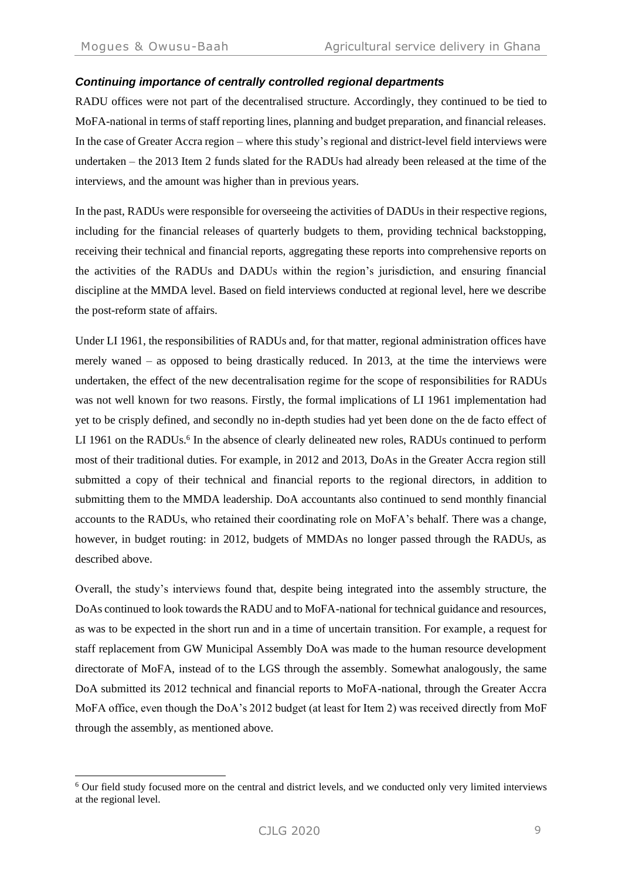#### *Continuing importance of centrally controlled regional departments*

RADU offices were not part of the decentralised structure. Accordingly, they continued to be tied to MoFA-national in terms of staff reporting lines, planning and budget preparation, and financial releases. In the case of Greater Accra region – where this study's regional and district-level field interviews were undertaken – the 2013 Item 2 funds slated for the RADUs had already been released at the time of the interviews, and the amount was higher than in previous years.

In the past, RADUs were responsible for overseeing the activities of DADUs in their respective regions, including for the financial releases of quarterly budgets to them, providing technical backstopping, receiving their technical and financial reports, aggregating these reports into comprehensive reports on the activities of the RADUs and DADUs within the region's jurisdiction, and ensuring financial discipline at the MMDA level. Based on field interviews conducted at regional level, here we describe the post-reform state of affairs.

Under LI 1961, the responsibilities of RADUs and, for that matter, regional administration offices have merely waned – as opposed to being drastically reduced. In 2013, at the time the interviews were undertaken, the effect of the new decentralisation regime for the scope of responsibilities for RADUs was not well known for two reasons. Firstly, the formal implications of LI 1961 implementation had yet to be crisply defined, and secondly no in-depth studies had yet been done on the de facto effect of LI 1961 on the RADUs.<sup>6</sup> In the absence of clearly delineated new roles, RADUs continued to perform most of their traditional duties. For example, in 2012 and 2013, DoAs in the Greater Accra region still submitted a copy of their technical and financial reports to the regional directors, in addition to submitting them to the MMDA leadership. DoA accountants also continued to send monthly financial accounts to the RADUs, who retained their coordinating role on MoFA's behalf. There was a change, however, in budget routing: in 2012, budgets of MMDAs no longer passed through the RADUs, as described above.

Overall, the study's interviews found that, despite being integrated into the assembly structure, the DoAs continued to look towards the RADU and to MoFA-national for technical guidance and resources, as was to be expected in the short run and in a time of uncertain transition. For example, a request for staff replacement from GW Municipal Assembly DoA was made to the human resource development directorate of MoFA, instead of to the LGS through the assembly. Somewhat analogously, the same DoA submitted its 2012 technical and financial reports to MoFA-national, through the Greater Accra MoFA office, even though the DoA's 2012 budget (at least for Item 2) was received directly from MoF through the assembly, as mentioned above.

<sup>6</sup> Our field study focused more on the central and district levels, and we conducted only very limited interviews at the regional level.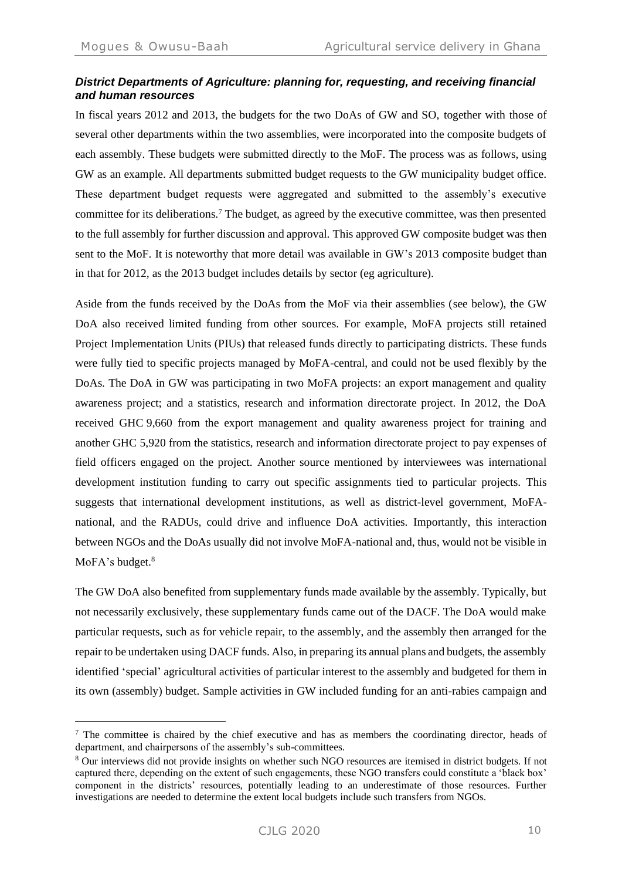# *District Departments of Agriculture: planning for, requesting, and receiving financial and human resources*

In fiscal years 2012 and 2013, the budgets for the two DoAs of GW and SO, together with those of several other departments within the two assemblies, were incorporated into the composite budgets of each assembly. These budgets were submitted directly to the MoF. The process was as follows, using GW as an example. All departments submitted budget requests to the GW municipality budget office. These department budget requests were aggregated and submitted to the assembly's executive committee for its deliberations.<sup>7</sup> The budget, as agreed by the executive committee, was then presented to the full assembly for further discussion and approval. This approved GW composite budget was then sent to the MoF. It is noteworthy that more detail was available in GW's 2013 composite budget than in that for 2012, as the 2013 budget includes details by sector (eg agriculture).

Aside from the funds received by the DoAs from the MoF via their assemblies (see below), the GW DoA also received limited funding from other sources. For example, MoFA projects still retained Project Implementation Units (PIUs) that released funds directly to participating districts. These funds were fully tied to specific projects managed by MoFA-central, and could not be used flexibly by the DoAs. The DoA in GW was participating in two MoFA projects: an export management and quality awareness project; and a statistics, research and information directorate project. In 2012, the DoA received GHC 9,660 from the export management and quality awareness project for training and another GHC 5,920 from the statistics, research and information directorate project to pay expenses of field officers engaged on the project. Another source mentioned by interviewees was international development institution funding to carry out specific assignments tied to particular projects. This suggests that international development institutions, as well as district-level government, MoFAnational, and the RADUs, could drive and influence DoA activities. Importantly, this interaction between NGOs and the DoAs usually did not involve MoFA-national and, thus, would not be visible in MoFA's budget.<sup>8</sup>

The GW DoA also benefited from supplementary funds made available by the assembly. Typically, but not necessarily exclusively, these supplementary funds came out of the DACF. The DoA would make particular requests, such as for vehicle repair, to the assembly, and the assembly then arranged for the repair to be undertaken using DACF funds. Also, in preparing its annual plans and budgets, the assembly identified 'special' agricultural activities of particular interest to the assembly and budgeted for them in its own (assembly) budget. Sample activities in GW included funding for an anti-rabies campaign and

<sup>&</sup>lt;sup>7</sup> The committee is chaired by the chief executive and has as members the coordinating director, heads of department, and chairpersons of the assembly's sub-committees.

<sup>8</sup> Our interviews did not provide insights on whether such NGO resources are itemised in district budgets. If not captured there, depending on the extent of such engagements, these NGO transfers could constitute a 'black box' component in the districts' resources, potentially leading to an underestimate of those resources. Further investigations are needed to determine the extent local budgets include such transfers from NGOs.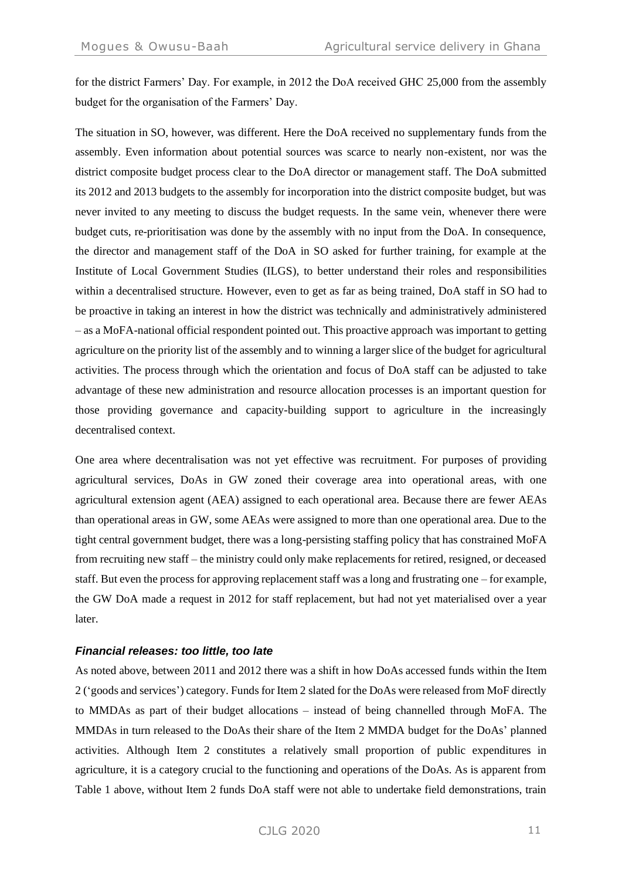for the district Farmers' Day. For example, in 2012 the DoA received GHC 25,000 from the assembly budget for the organisation of the Farmers' Day.

The situation in SO, however, was different. Here the DoA received no supplementary funds from the assembly. Even information about potential sources was scarce to nearly non-existent, nor was the district composite budget process clear to the DoA director or management staff. The DoA submitted its 2012 and 2013 budgets to the assembly for incorporation into the district composite budget, but was never invited to any meeting to discuss the budget requests. In the same vein, whenever there were budget cuts, re-prioritisation was done by the assembly with no input from the DoA. In consequence, the director and management staff of the DoA in SO asked for further training, for example at the Institute of Local Government Studies (ILGS), to better understand their roles and responsibilities within a decentralised structure. However, even to get as far as being trained, DoA staff in SO had to be proactive in taking an interest in how the district was technically and administratively administered – as a MoFA-national official respondent pointed out. This proactive approach was important to getting agriculture on the priority list of the assembly and to winning a larger slice of the budget for agricultural activities. The process through which the orientation and focus of DoA staff can be adjusted to take advantage of these new administration and resource allocation processes is an important question for those providing governance and capacity-building support to agriculture in the increasingly decentralised context.

One area where decentralisation was not yet effective was recruitment. For purposes of providing agricultural services, DoAs in GW zoned their coverage area into operational areas, with one agricultural extension agent (AEA) assigned to each operational area. Because there are fewer AEAs than operational areas in GW, some AEAs were assigned to more than one operational area. Due to the tight central government budget, there was a long-persisting staffing policy that has constrained MoFA from recruiting new staff – the ministry could only make replacements for retired, resigned, or deceased staff. But even the process for approving replacement staff was a long and frustrating one – for example, the GW DoA made a request in 2012 for staff replacement, but had not yet materialised over a year later.

#### *Financial releases: too little, too late*

As noted above, between 2011 and 2012 there was a shift in how DoAs accessed funds within the Item 2 ('goods and services') category. Funds for Item 2 slated for the DoAs were released from MoF directly to MMDAs as part of their budget allocations – instead of being channelled through MoFA. The MMDAs in turn released to the DoAs their share of the Item 2 MMDA budget for the DoAs' planned activities. Although Item 2 constitutes a relatively small proportion of public expenditures in agriculture, it is a category crucial to the functioning and operations of the DoAs. As is apparent from Table 1 above, without Item 2 funds DoA staff were not able to undertake field demonstrations, train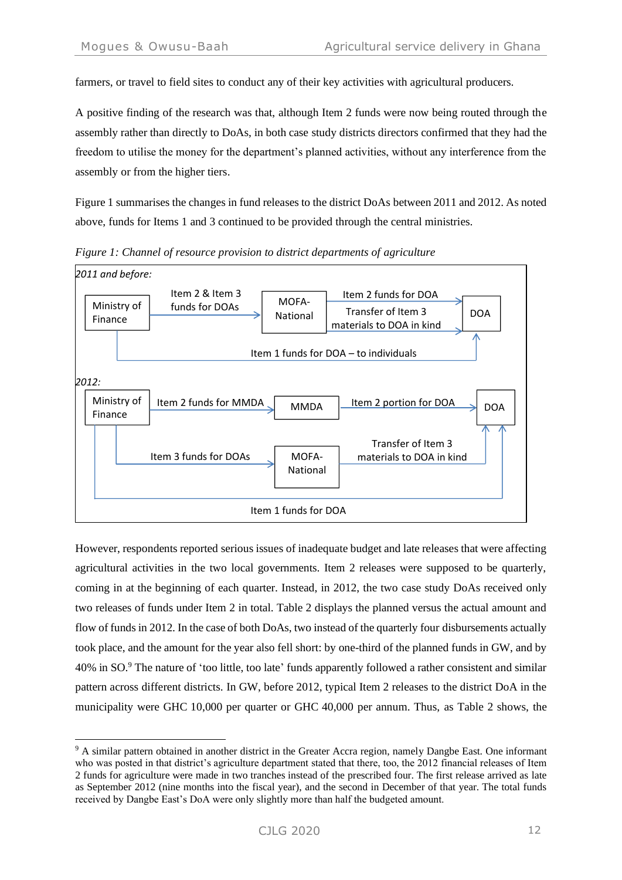farmers, or travel to field sites to conduct any of their key activities with agricultural producers.

A positive finding of the research was that, although Item 2 funds were now being routed through the assembly rather than directly to DoAs, in both case study districts directors confirmed that they had the freedom to utilise the money for the department's planned activities, without any interference from the assembly or from the higher tiers.

Figure 1 summarises the changes in fund releases to the district DoAs between 2011 and 2012. As noted above, funds for Items 1 and 3 continued to be provided through the central ministries.



*Figure 1: Channel of resource provision to district departments of agriculture*

However, respondents reported serious issues of inadequate budget and late releases that were affecting agricultural activities in the two local governments. Item 2 releases were supposed to be quarterly, coming in at the beginning of each quarter. Instead, in 2012, the two case study DoAs received only two releases of funds under Item 2 in total. Table 2 displays the planned versus the actual amount and flow of funds in 2012. In the case of both DoAs, two instead of the quarterly four disbursements actually took place, and the amount for the year also fell short: by one-third of the planned funds in GW, and by 40% in SO.<sup>9</sup> The nature of 'too little, too late' funds apparently followed a rather consistent and similar pattern across different districts. In GW, before 2012, typical Item 2 releases to the district DoA in the municipality were GHC 10,000 per quarter or GHC 40,000 per annum. Thus, as Table 2 shows, the

<sup>9</sup> A similar pattern obtained in another district in the Greater Accra region, namely Dangbe East. One informant who was posted in that district's agriculture department stated that there, too, the 2012 financial releases of Item 2 funds for agriculture were made in two tranches instead of the prescribed four. The first release arrived as late as September 2012 (nine months into the fiscal year), and the second in December of that year. The total funds received by Dangbe East's DoA were only slightly more than half the budgeted amount.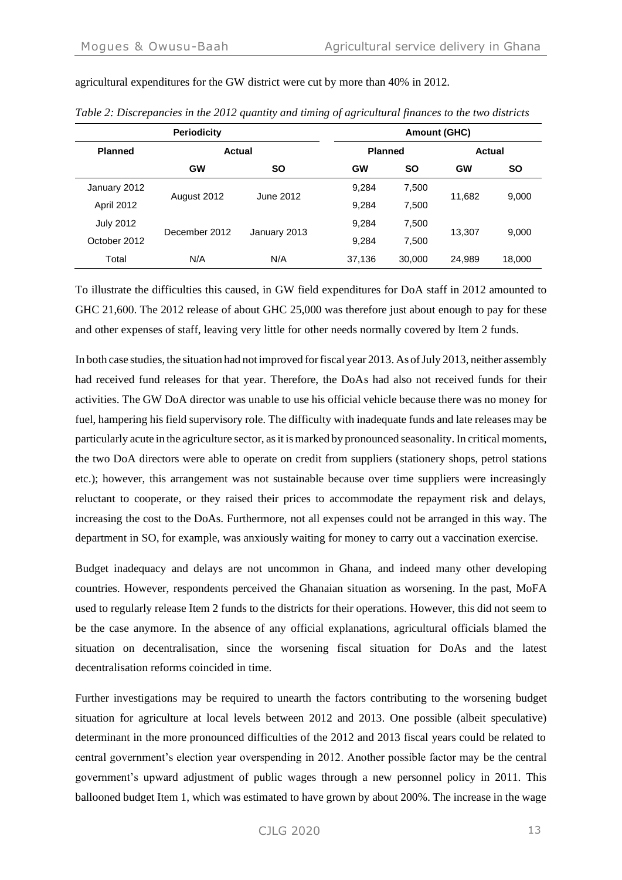| <b>Periodicity</b> |               |              | <b>Amount (GHC)</b> |           |               |           |
|--------------------|---------------|--------------|---------------------|-----------|---------------|-----------|
| <b>Planned</b>     | Actual        |              | <b>Planned</b>      |           | <b>Actual</b> |           |
|                    | <b>GW</b>     | <b>SO</b>    | <b>GW</b>           | <b>SO</b> | <b>GW</b>     | <b>SO</b> |
| January 2012       |               | June 2012    | 9,284               | 7,500     | 11,682        | 9,000     |
| <b>April 2012</b>  | August 2012   |              | 9,284               | 7,500     |               |           |
| <b>July 2012</b>   | December 2012 | January 2013 | 9,284               | 7,500     | 13.307        | 9,000     |
| October 2012       |               |              | 9.284               | 7.500     |               |           |
| Total              | N/A           | N/A          | 37,136              | 30,000    | 24,989        | 18,000    |

*Table 2: Discrepancies in the 2012 quantity and timing of agricultural finances to the two districts* 

agricultural expenditures for the GW district were cut by more than 40% in 2012.

To illustrate the difficulties this caused, in GW field expenditures for DoA staff in 2012 amounted to GHC 21,600. The 2012 release of about GHC 25,000 was therefore just about enough to pay for these and other expenses of staff, leaving very little for other needs normally covered by Item 2 funds.

In both case studies, the situation had not improved for fiscal year 2013. As of July 2013, neither assembly had received fund releases for that year. Therefore, the DoAs had also not received funds for their activities. The GW DoA director was unable to use his official vehicle because there was no money for fuel, hampering his field supervisory role. The difficulty with inadequate funds and late releases may be particularly acute in the agriculture sector, asit ismarked by pronounced seasonality.In critical moments, the two DoA directors were able to operate on credit from suppliers (stationery shops, petrol stations etc.); however, this arrangement was not sustainable because over time suppliers were increasingly reluctant to cooperate, or they raised their prices to accommodate the repayment risk and delays, increasing the cost to the DoAs. Furthermore, not all expenses could not be arranged in this way. The department in SO, for example, was anxiously waiting for money to carry out a vaccination exercise.

Budget inadequacy and delays are not uncommon in Ghana, and indeed many other developing countries. However, respondents perceived the Ghanaian situation as worsening. In the past, MoFA used to regularly release Item 2 funds to the districts for their operations. However, this did not seem to be the case anymore. In the absence of any official explanations, agricultural officials blamed the situation on decentralisation, since the worsening fiscal situation for DoAs and the latest decentralisation reforms coincided in time.

Further investigations may be required to unearth the factors contributing to the worsening budget situation for agriculture at local levels between 2012 and 2013. One possible (albeit speculative) determinant in the more pronounced difficulties of the 2012 and 2013 fiscal years could be related to central government's election year overspending in 2012. Another possible factor may be the central government's upward adjustment of public wages through a new personnel policy in 2011. This ballooned budget Item 1, which was estimated to have grown by about 200%. The increase in the wage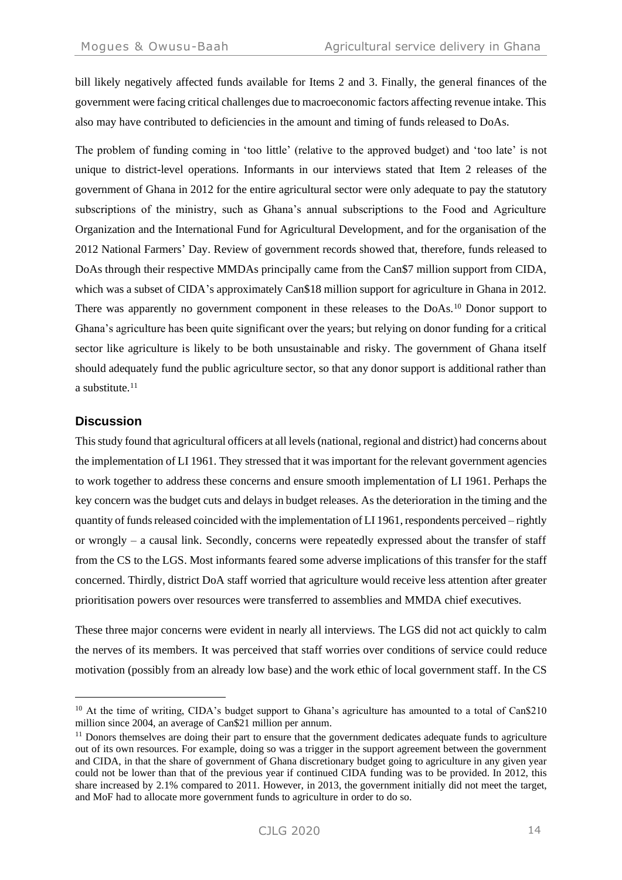bill likely negatively affected funds available for Items 2 and 3. Finally, the general finances of the government were facing critical challenges due to macroeconomic factors affecting revenue intake. This also may have contributed to deficiencies in the amount and timing of funds released to DoAs.

The problem of funding coming in 'too little' (relative to the approved budget) and 'too late' is not unique to district-level operations. Informants in our interviews stated that Item 2 releases of the government of Ghana in 2012 for the entire agricultural sector were only adequate to pay the statutory subscriptions of the ministry, such as Ghana's annual subscriptions to the Food and Agriculture Organization and the International Fund for Agricultural Development, and for the organisation of the 2012 National Farmers' Day. Review of government records showed that, therefore, funds released to DoAs through their respective MMDAs principally came from the Can\$7 million support from CIDA, which was a subset of CIDA's approximately Can\$18 million support for agriculture in Ghana in 2012. There was apparently no government component in these releases to the DoAs.<sup>10</sup> Donor support to Ghana's agriculture has been quite significant over the years; but relying on donor funding for a critical sector like agriculture is likely to be both unsustainable and risky. The government of Ghana itself should adequately fund the public agriculture sector, so that any donor support is additional rather than a substitute  $11$ 

#### **Discussion**

Thisstudy found that agricultural officers at all levels(national, regional and district) had concerns about the implementation of LI 1961. They stressed that it was important for the relevant government agencies to work together to address these concerns and ensure smooth implementation of LI 1961. Perhaps the key concern was the budget cuts and delays in budget releases. As the deterioration in the timing and the quantity of funds released coincided with the implementation of LI 1961, respondents perceived – rightly or wrongly – a causal link. Secondly, concerns were repeatedly expressed about the transfer of staff from the CS to the LGS. Most informants feared some adverse implications of this transfer for the staff concerned. Thirdly, district DoA staff worried that agriculture would receive less attention after greater prioritisation powers over resources were transferred to assemblies and MMDA chief executives.

These three major concerns were evident in nearly all interviews. The LGS did not act quickly to calm the nerves of its members. It was perceived that staff worries over conditions of service could reduce motivation (possibly from an already low base) and the work ethic of local government staff. In the CS

<sup>&</sup>lt;sup>10</sup> At the time of writing, CIDA's budget support to Ghana's agriculture has amounted to a total of Can\$210 million since 2004, an average of Can\$21 million per annum.

<sup>&</sup>lt;sup>11</sup> Donors themselves are doing their part to ensure that the government dedicates adequate funds to agriculture out of its own resources. For example, doing so was a trigger in the support agreement between the government and CIDA, in that the share of government of Ghana discretionary budget going to agriculture in any given year could not be lower than that of the previous year if continued CIDA funding was to be provided. In 2012, this share increased by 2.1% compared to 2011. However, in 2013, the government initially did not meet the target, and MoF had to allocate more government funds to agriculture in order to do so.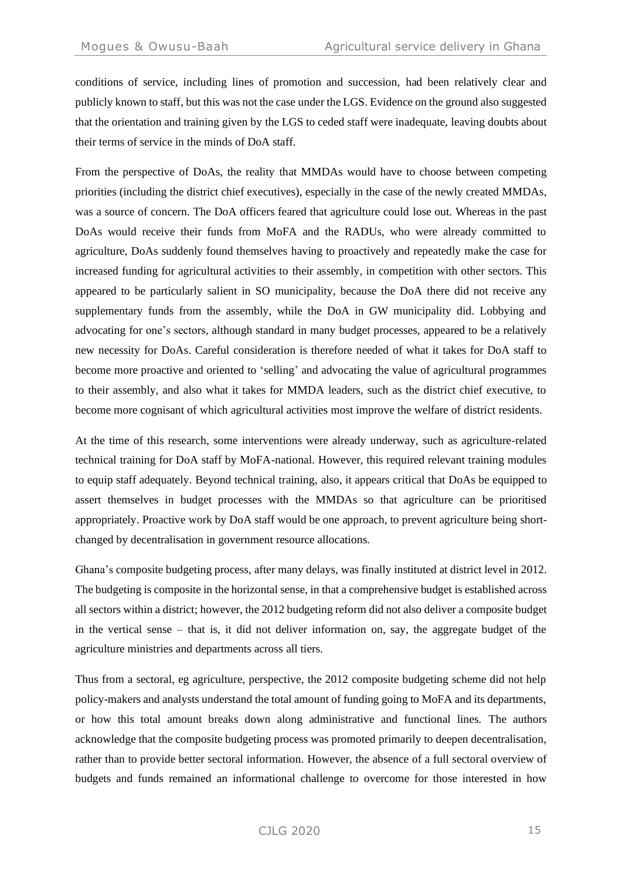conditions of service, including lines of promotion and succession, had been relatively clear and publicly known to staff, but this was not the case under the LGS. Evidence on the ground also suggested that the orientation and training given by the LGS to ceded staff were inadequate, leaving doubts about their terms of service in the minds of DoA staff.

From the perspective of DoAs, the reality that MMDAs would have to choose between competing priorities (including the district chief executives), especially in the case of the newly created MMDAs, was a source of concern. The DoA officers feared that agriculture could lose out. Whereas in the past DoAs would receive their funds from MoFA and the RADUs, who were already committed to agriculture, DoAs suddenly found themselves having to proactively and repeatedly make the case for increased funding for agricultural activities to their assembly, in competition with other sectors. This appeared to be particularly salient in SO municipality, because the DoA there did not receive any supplementary funds from the assembly, while the DoA in GW municipality did. Lobbying and advocating for one's sectors, although standard in many budget processes, appeared to be a relatively new necessity for DoAs. Careful consideration is therefore needed of what it takes for DoA staff to become more proactive and oriented to 'selling' and advocating the value of agricultural programmes to their assembly, and also what it takes for MMDA leaders, such as the district chief executive, to become more cognisant of which agricultural activities most improve the welfare of district residents.

At the time of this research, some interventions were already underway, such as agriculture-related technical training for DoA staff by MoFA-national. However, this required relevant training modules to equip staff adequately. Beyond technical training, also, it appears critical that DoAs be equipped to assert themselves in budget processes with the MMDAs so that agriculture can be prioritised appropriately. Proactive work by DoA staff would be one approach, to prevent agriculture being shortchanged by decentralisation in government resource allocations.

Ghana's composite budgeting process, after many delays, was finally instituted at district level in 2012. The budgeting is composite in the horizontal sense, in that a comprehensive budget is established across all sectors within a district; however, the 2012 budgeting reform did not also deliver a composite budget in the vertical sense – that is, it did not deliver information on, say, the aggregate budget of the agriculture ministries and departments across all tiers.

Thus from a sectoral, eg agriculture, perspective, the 2012 composite budgeting scheme did not help policy-makers and analysts understand the total amount of funding going to MoFA and its departments, or how this total amount breaks down along administrative and functional lines. The authors acknowledge that the composite budgeting process was promoted primarily to deepen decentralisation, rather than to provide better sectoral information. However, the absence of a full sectoral overview of budgets and funds remained an informational challenge to overcome for those interested in how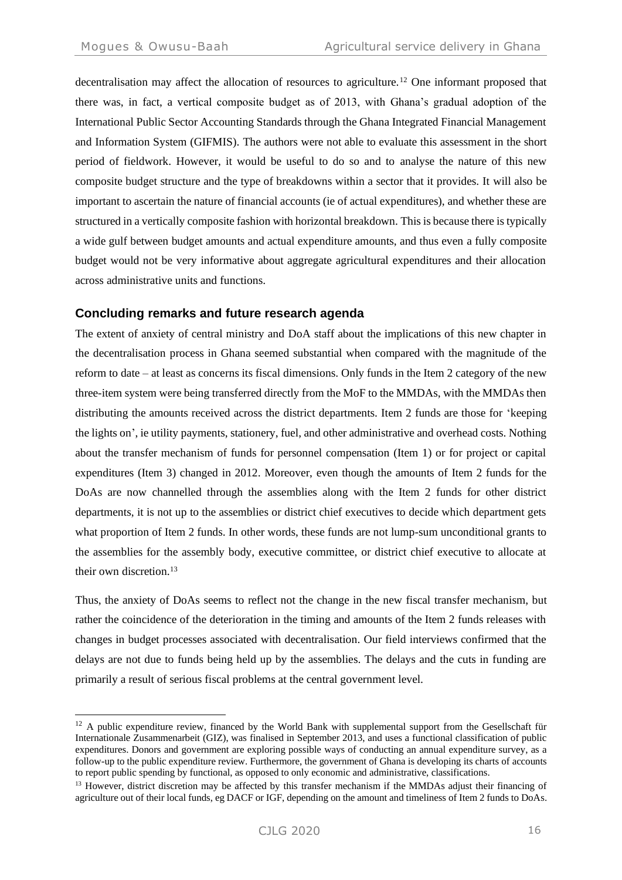decentralisation may affect the allocation of resources to agriculture.<sup>12</sup> One informant proposed that there was, in fact, a vertical composite budget as of 2013, with Ghana's gradual adoption of the International Public Sector Accounting Standards through the Ghana Integrated Financial Management and Information System (GIFMIS). The authors were not able to evaluate this assessment in the short period of fieldwork. However, it would be useful to do so and to analyse the nature of this new composite budget structure and the type of breakdowns within a sector that it provides. It will also be important to ascertain the nature of financial accounts (ie of actual expenditures), and whether these are structured in a vertically composite fashion with horizontal breakdown. This is because there is typically a wide gulf between budget amounts and actual expenditure amounts, and thus even a fully composite budget would not be very informative about aggregate agricultural expenditures and their allocation across administrative units and functions.

## **Concluding remarks and future research agenda**

The extent of anxiety of central ministry and DoA staff about the implications of this new chapter in the decentralisation process in Ghana seemed substantial when compared with the magnitude of the reform to date – at least as concerns its fiscal dimensions. Only funds in the Item 2 category of the new three-item system were being transferred directly from the MoF to the MMDAs, with the MMDAs then distributing the amounts received across the district departments. Item 2 funds are those for 'keeping the lights on', ie utility payments, stationery, fuel, and other administrative and overhead costs. Nothing about the transfer mechanism of funds for personnel compensation (Item 1) or for project or capital expenditures (Item 3) changed in 2012. Moreover, even though the amounts of Item 2 funds for the DoAs are now channelled through the assemblies along with the Item 2 funds for other district departments, it is not up to the assemblies or district chief executives to decide which department gets what proportion of Item 2 funds. In other words, these funds are not lump-sum unconditional grants to the assemblies for the assembly body, executive committee, or district chief executive to allocate at their own discretion.<sup>13</sup>

Thus, the anxiety of DoAs seems to reflect not the change in the new fiscal transfer mechanism, but rather the coincidence of the deterioration in the timing and amounts of the Item 2 funds releases with changes in budget processes associated with decentralisation. Our field interviews confirmed that the delays are not due to funds being held up by the assemblies. The delays and the cuts in funding are primarily a result of serious fiscal problems at the central government level.

<sup>&</sup>lt;sup>12</sup> A public expenditure review, financed by the World Bank with supplemental support from the Gesellschaft für Internationale Zusammenarbeit (GIZ), was finalised in September 2013, and uses a functional classification of public expenditures. Donors and government are exploring possible ways of conducting an annual expenditure survey, as a follow-up to the public expenditure review. Furthermore, the government of Ghana is developing its charts of accounts to report public spending by functional, as opposed to only economic and administrative, classifications.

<sup>&</sup>lt;sup>13</sup> However, district discretion may be affected by this transfer mechanism if the MMDAs adjust their financing of agriculture out of their local funds, eg DACF or IGF, depending on the amount and timeliness of Item 2 funds to DoAs.